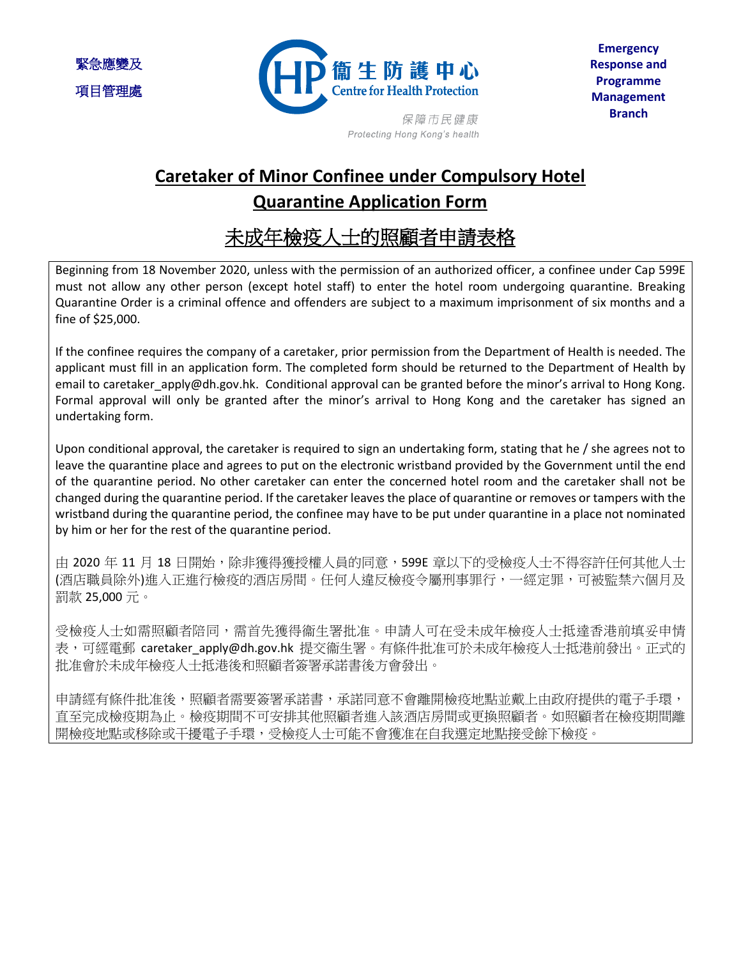緊急應變及 項目管理處



Protecting Hong Kong's health

## **Caretaker of Minor Confinee under Compulsory Hotel Quarantine Application Form**

## 未成年檢疫人士的照顧者申請表格

Beginning from 18 November 2020, unless with the permission of an authorized officer, a confinee under Cap 599E must not allow any other person (except hotel staff) to enter the hotel room undergoing quarantine. Breaking Quarantine Order is a criminal offence and offenders are subject to a maximum imprisonment of six months and a fine of \$25,000.

If the confinee requires the company of a caretaker, prior permission from the Department of Health is needed. The applicant must fill in an application form. The completed form should be returned to the Department of Health by email to caretaker\_apply@dh.gov.hk. Conditional approval can be granted before the minor's arrival to Hong Kong. Formal approval will only be granted after the minor's arrival to Hong Kong and the caretaker has signed an undertaking form.

Upon conditional approval, the caretaker is required to sign an undertaking form, stating that he / she agrees not to leave the quarantine place and agrees to put on the electronic wristband provided by the Government until the end of the quarantine period. No other caretaker can enter the concerned hotel room and the caretaker shall not be changed during the quarantine period. If the caretaker leaves the place of quarantine or removes or tampers with the wristband during the quarantine period, the confinee may have to be put under quarantine in a place not nominated by him or her for the rest of the quarantine period.

由 2020 年 11 月 18 日開始,除非獲得獲授權人員的同意,599E 章以下的受檢疫人士不得容許任何其他人士 (酒店職員除外)進入正進行檢疫的酒店房間。任何人違反檢疫令屬刑事罪行,一經定罪,可被監禁六個月及 罰款 25,000 元。

受檢疫人士如需照顧者陪同,需首先獲得衞生署批准。申請人可在受未成年檢疫人士抵達香港前填妥申情 表,可經電郵 caretaker apply@dh.gov.hk 提交衞生署。有條件批准可於未成年檢疫人士抵港前發出。正式的 批准會於未成年檢疫人士抵港後和照顧者簽署承諾書後方會發出。

申請經有條件批准後,照顧者需要簽署承諾書,承諾同意不會離開檢疫地點並戴上由政府提供的電子手環, 直至完成檢疫期為止。檢疫期間不可安排其他照顧者進入該酒店房間或更換照顧者。如照顧者在檢疫期間離 開檢疫地點或移除或干擾電子手環,受檢疫人士可能不會獲准在自我選定地點接受餘下檢疫。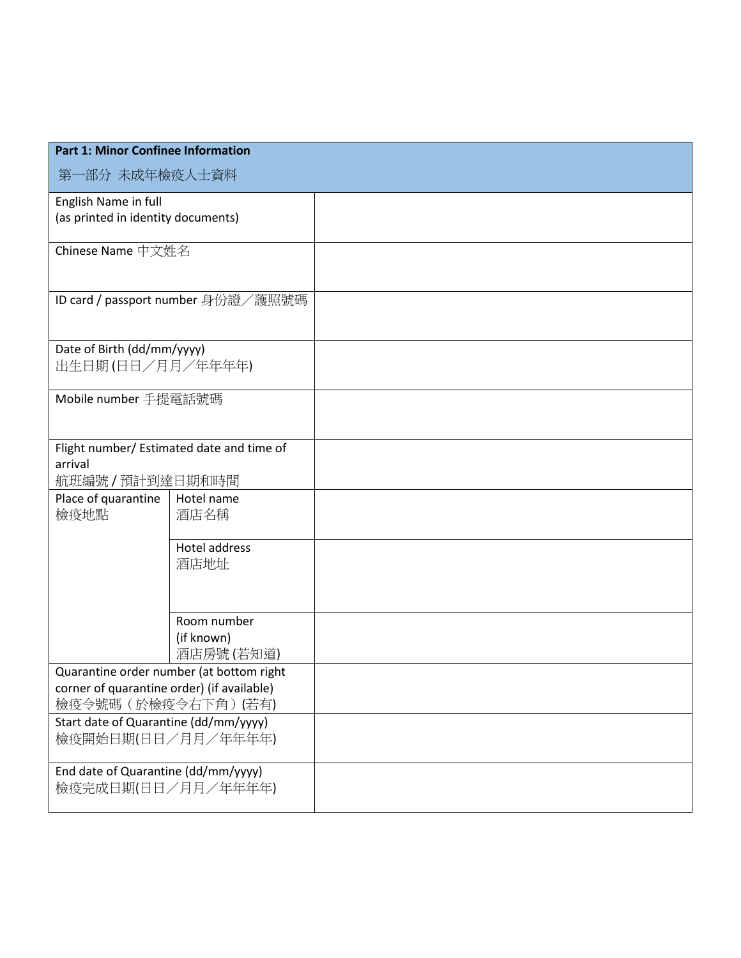| <b>Part 1: Minor Confinee Information</b>                                                                      |                                        |  |  |
|----------------------------------------------------------------------------------------------------------------|----------------------------------------|--|--|
| 第一部分 未成年檢疫人士資料                                                                                                 |                                        |  |  |
| English Name in full<br>(as printed in identity documents)                                                     |                                        |  |  |
| Chinese Name 中文姓名                                                                                              |                                        |  |  |
| ID card / passport number 身份證/護照號碼                                                                             |                                        |  |  |
| Date of Birth (dd/mm/yyyy)<br>出生日期(日日/月月/年年年年)                                                                 |                                        |  |  |
| Mobile number 手提電話號碼                                                                                           |                                        |  |  |
| Flight number/ Estimated date and time of<br>arrival<br>航班編號/預計到達日期和時間                                         |                                        |  |  |
| Place of quarantine<br>檢疫地點                                                                                    | Hotel name<br>酒店名稱                     |  |  |
|                                                                                                                | <b>Hotel address</b><br>酒店地址           |  |  |
|                                                                                                                | Room number<br>(if known)<br>酒店房號(若知道) |  |  |
| Quarantine order number (at bottom right<br>corner of quarantine order) (if available)<br>檢疫令號碼 (於檢疫令右下角) (若有) |                                        |  |  |
| Start date of Quarantine (dd/mm/yyyy)<br>檢疫開始日期(日日/月月/年年年年)                                                    |                                        |  |  |
| End date of Quarantine (dd/mm/yyyy)<br>檢疫完成日期(日日/月月/年年年年)                                                      |                                        |  |  |